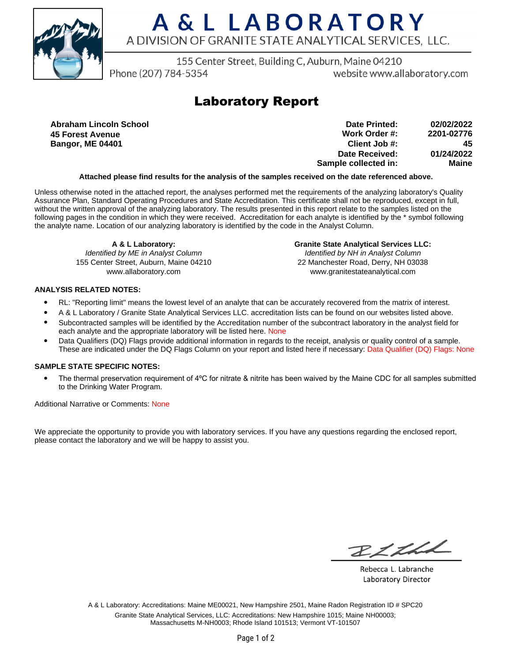

# A & L LABORATORY A DIVISION OF GRANITE STATE ANALYTICAL SERVICES, LLC.

155 Center Street, Building C, Auburn, Maine 04210

Phone (207) 784-5354

website www.allaboratory.com

## **Laboratory Report**

**Abraham Lincoln School 45 Forest Avenue Bangor, ME 04401**

**Work Order #: Client Job #: Date Received: Sample collected in: 2201-02776 45 01/24/2022 Maine Date Printed: 02/02/2022**

### **Attached please find results for the analysis of the samples received on the date referenced above.**

Unless otherwise noted in the attached report, the analyses performed met the requirements of the analyzing laboratory's Quality Assurance Plan, Standard Operating Procedures and State Accreditation. This certificate shall not be reproduced, except in full, without the written approval of the analyzing laboratory. The results presented in this report relate to the samples listed on the following pages in the condition in which they were received. Accreditation for each analyte is identified by the \* symbol following the analyte name. Location of our analyzing laboratory is identified by the code in the Analyst Column.

**A & L Laboratory:** Identified by ME in Analyst Column 155 Center Street, Auburn, Maine 04210 www.allaboratory.com

**Granite State Analytical Services LLC:** Identified by NH in Analyst Column 22 Manchester Road, Derry, NH 03038 www.granitestateanalytical.com

### **ANALYSIS RELATED NOTES:**

- RL: "Reporting limit" means the lowest level of an analyte that can be accurately recovered from the matrix of interest.
- A & L Laboratory / Granite State Analytical Services LLC. accreditation lists can be found on our websites listed above.
- Subcontracted samples will be identified by the Accreditation number of the subcontract laboratory in the analyst field for each analyte and the appropriate laboratory will be listed here. None
- Data Qualifiers (DQ) Flags provide additional information in regards to the receipt, analysis or quality control of a sample. These are indicated under the DQ Flags Column on your report and listed here if necessary: Data Qualifier (DQ) Flags: None

### **SAMPLE STATE SPECIFIC NOTES:**

• The thermal preservation requirement of 4°C for nitrate & nitrite has been waived by the Maine CDC for all samples submitted to the Drinking Water Program.

Additional Narrative or Comments: None

We appreciate the opportunity to provide you with laboratory services. If you have any questions regarding the enclosed report, please contact the laboratory and we will be happy to assist you.

RICHL

Rebecca L. Labranche Laboratory Director

A & L Laboratory: Accreditations: Maine ME00021, New Hampshire 2501, Maine Radon Registration ID # SPC20 Granite State Analytical Services, LLC: Accreditations: New Hampshire 1015; Maine NH00003; Massachusetts M-NH0003; Rhode Island 101513; Vermont VT-101507